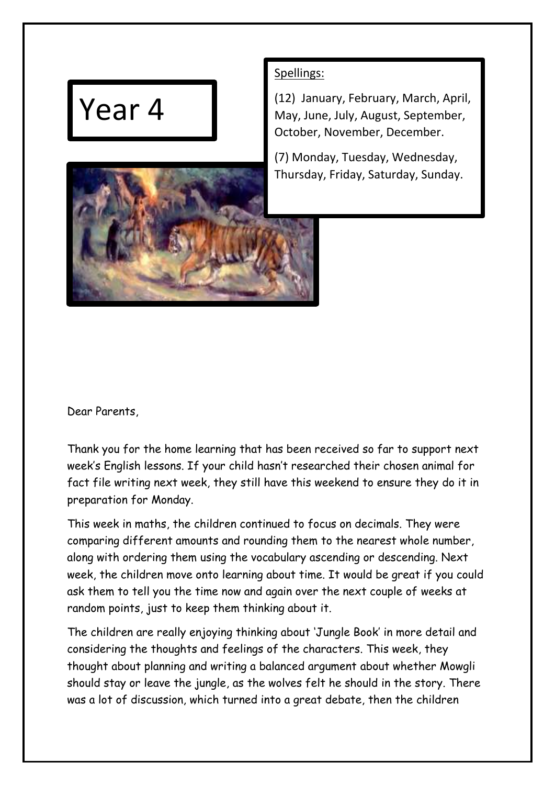## Year 4



(12) January, February, March, April, May, June, July, August, September, October, November, December.

(7) Monday, Tuesday, Wednesday, Thursday, Friday, Saturday, Sunday.



Dear Parents,

Thank you for the home learning that has been received so far to support next week's English lessons. If your child hasn't researched their chosen animal for fact file writing next week, they still have this weekend to ensure they do it in preparation for Monday.

This week in maths, the children continued to focus on decimals. They were comparing different amounts and rounding them to the nearest whole number, along with ordering them using the vocabulary ascending or descending. Next week, the children move onto learning about time. It would be great if you could ask them to tell you the time now and again over the next couple of weeks at random points, just to keep them thinking about it.

The children are really enjoying thinking about 'Jungle Book' in more detail and considering the thoughts and feelings of the characters. This week, they thought about planning and writing a balanced argument about whether Mowgli should stay or leave the jungle, as the wolves felt he should in the story. There was a lot of discussion, which turned into a great debate, then the children